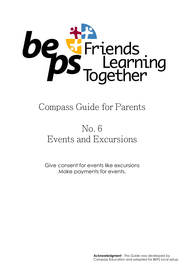

## Compass Guide for Parents

# No. 6 Events and Excursions

Give consent for events like excursions Make payments for events.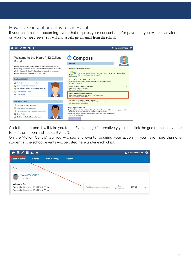### How To: Consent and Pay for an Event

If your child has an upcoming event that requires your consent and/or payment, you will see an alert on your homescreen. You will also usually get an email from the school.



Click the alert and it will take you to the Events page (alternatively you can click the grid menu icon at the top of the screen and select 'Events').

On the 'Action Centre' tab you will see any events requiring your action. If you have more than one student at the school, events will be listed here under each child.

| ▲画/冊ぷ★                                                                                                   |                              |                   | Mrs Sable BROOKS |  |
|----------------------------------------------------------------------------------------------------------|------------------------------|-------------------|------------------|--|
| <b>Action Centre</b><br>Volunteering<br>Events                                                           | <b>History</b>               |                   |                  |  |
| Event                                                                                                    |                              |                   |                  |  |
| <b>Euan ABERCROMBIE</b><br>events                                                                        |                              |                   |                  |  |
| <b>Melbourne Zoo</b><br>Wednesday, December 16th 2020, 8:30 am<br>Wednesday, December 16th 2020, 3:25 pm | Awaiting consent and payment | Due<br>09/12/2020 | \$50.00          |  |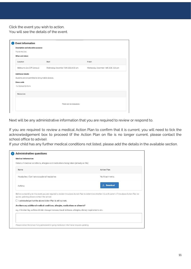Click the event you wish to action. You will see the details of the event.

| Description and educative purpose |                                        |                                        |
|-----------------------------------|----------------------------------------|----------------------------------------|
| Trip to the Zoo.                  |                                        |                                        |
| When and where                    |                                        |                                        |
| Location                          | Start                                  | Finish                                 |
| Melbourne Zoo (Off Campus)        | Wednesday, December 16th 2020, 8:30 am | Wednesday, December 16th 2020, 3:25 pm |
| Dress code<br>Full School Uniform |                                        |                                        |
| <b>Resources</b>                  |                                        |                                        |
|                                   | There are no resources.                |                                        |

Next will be any administrative information that you are required to review or respond to.

If you are required to review a medical Action Plan to confirm that it is current, you will need to tick the acknowledgement box to proceed (if the Action Plan on file is no longer current, please contact the school office to advise).

If your child has any further medical conditions not listed, please add the details in the available section.

|                                                                                  | Details of medical conditions, allergies and medications being taken (already on file)                   |                                                                                                                                                         |
|----------------------------------------------------------------------------------|----------------------------------------------------------------------------------------------------------|---------------------------------------------------------------------------------------------------------------------------------------------------------|
| Name                                                                             |                                                                                                          | <b>Action Plan</b>                                                                                                                                      |
| Headaches   Can have occasional headaches                                        |                                                                                                          | No Attachments                                                                                                                                          |
| Asthma                                                                           |                                                                                                          | $\downarrow$ , Download                                                                                                                                 |
| quires updating please contact the school.                                       |                                                                                                          | Before consenting to this event you are required to review the above Action Plan to determine whether it is still current. If the above Action Plan re- |
| I acknowledge that the above Action Plan is still current.                       |                                                                                                          |                                                                                                                                                         |
|                                                                                  |                                                                                                          |                                                                                                                                                         |
| Are there any additional medical conditions, allergies, medications or ailments? |                                                                                                          |                                                                                                                                                         |
|                                                                                  | e.g. A broken leg, asthma inhaler dosage increase, travel sickness, allergies, dietary requirements etc. |                                                                                                                                                         |
|                                                                                  |                                                                                                          |                                                                                                                                                         |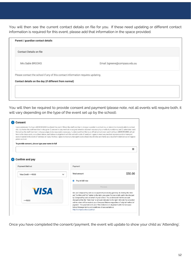You will then see the current contact details on file for you. If these need updating or different contact information is required for this event, please add that information in the space provided.

| Contact Details on file                                                         |                               |  |
|---------------------------------------------------------------------------------|-------------------------------|--|
|                                                                                 |                               |  |
| Mrs Sable BROOKS                                                                | Email: bgreene@compass.edu.au |  |
|                                                                                 |                               |  |
| Please contact the school if any of this contact information requires updating. |                               |  |
| Contact details on the day (if different from normal)                           |                               |  |

You will then be required to provide consent and payment (please note, not all events will require both, it will vary depending on the type of the event set up by the school).

| <b>Consent</b><br>I give permission for Euan ABERCROMBIE to attend this event. Where the staff member in charge is unable to contact me, or where it is impracticable to contact                                                                                                                                                                                                                                                                                                                                                                                                                                                                                                               |                                                                                                                                                                                                                                                                                                                             |         |
|------------------------------------------------------------------------------------------------------------------------------------------------------------------------------------------------------------------------------------------------------------------------------------------------------------------------------------------------------------------------------------------------------------------------------------------------------------------------------------------------------------------------------------------------------------------------------------------------------------------------------------------------------------------------------------------------|-----------------------------------------------------------------------------------------------------------------------------------------------------------------------------------------------------------------------------------------------------------------------------------------------------------------------------|---------|
| me, I authorise the staff member in charge to 1) consent to any medical or surgical attention deemed necessary by a medical practitioner, and 2) administer such<br>first-aid as the staff member in charge judges to be reasonably necessary. I understand that this is an official school event and that Euan ABERCROMBIE will ad-<br>here to the dress code, as outlined above, and behave in alignment with the school's code of conduct. I agree to meet any medical expenses and/or transport<br>costs incurred in the event of sickness or injury. Further, I agree to meet any transport costs should my child be sent home as a result of misbehaviour or inappro-<br>priate conduct. |                                                                                                                                                                                                                                                                                                                             |         |
| To provide consent, please type your name in full                                                                                                                                                                                                                                                                                                                                                                                                                                                                                                                                                                                                                                              |                                                                                                                                                                                                                                                                                                                             |         |
|                                                                                                                                                                                                                                                                                                                                                                                                                                                                                                                                                                                                                                                                                                |                                                                                                                                                                                                                                                                                                                             |         |
|                                                                                                                                                                                                                                                                                                                                                                                                                                                                                                                                                                                                                                                                                                |                                                                                                                                                                                                                                                                                                                             |         |
|                                                                                                                                                                                                                                                                                                                                                                                                                                                                                                                                                                                                                                                                                                |                                                                                                                                                                                                                                                                                                                             |         |
| Confirm and pay                                                                                                                                                                                                                                                                                                                                                                                                                                                                                                                                                                                                                                                                                |                                                                                                                                                                                                                                                                                                                             |         |
| <b>Payment Method</b>                                                                                                                                                                                                                                                                                                                                                                                                                                                                                                                                                                                                                                                                          |                                                                                                                                                                                                                                                                                                                             |         |
|                                                                                                                                                                                                                                                                                                                                                                                                                                                                                                                                                                                                                                                                                                | Payment                                                                                                                                                                                                                                                                                                                     |         |
| Visa Credit 9333                                                                                                                                                                                                                                                                                                                                                                                                                                                                                                                                                                                                                                                                               | <b>Total amount</b><br>$\checkmark$                                                                                                                                                                                                                                                                                         | \$50.00 |
|                                                                                                                                                                                                                                                                                                                                                                                                                                                                                                                                                                                                                                                                                                | Pay in full now                                                                                                                                                                                                                                                                                                             |         |
|                                                                                                                                                                                                                                                                                                                                                                                                                                                                                                                                                                                                                                                                                                | Process                                                                                                                                                                                                                                                                                                                     |         |
| <b>VISA</b>                                                                                                                                                                                                                                                                                                                                                                                                                                                                                                                                                                                                                                                                                    | We use CompassPay.com as our payment processing gateway. In clicking the relev-<br>ant "Confirm and Pay" button to the right, you agree for your credit card to be charged<br>by CompassPay.com on behalf of your school. You understand that the amount                                                                    |         |
| 9333                                                                                                                                                                                                                                                                                                                                                                                                                                                                                                                                                                                                                                                                                           | charged will be the "Total Due" or amount indicated to the right. Refunds for cancelled<br>online orders will be made to your Compass Balance regardless of original method of<br>payment. This payment and use of this website is in alignment with the Compass<br>School Manager terms and conditions of use available at |         |

Once you have completed the consent/payment, the event will update to show your child as 'Attending'.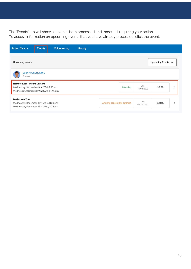The 'Events' tab will show all events, both processed and those still requiring your action. To access information on upcoming events that you have already processed, click the event.

| <b>Action Centre</b>                                                                                                    | Events           | <b>Volunteering</b> | <b>History</b> |                              |                   |                        |               |
|-------------------------------------------------------------------------------------------------------------------------|------------------|---------------------|----------------|------------------------------|-------------------|------------------------|---------------|
| Upcoming events                                                                                                         |                  |                     |                |                              |                   | Upcoming Events $\vee$ |               |
| 2 events                                                                                                                | Euan ABERCROMBIE |                     |                |                              |                   |                        |               |
| <b>Remote Expo- Future Careers</b><br>Wednesday, September 9th 2020, 9:45 am<br>Wednesday, September 9th 2020, 11:45 am |                  |                     |                | Attending                    | Due<br>18/08/2020 | \$0.00                 |               |
| <b>Melbourne Zoo</b><br>Wednesday, December 16th 2020, 8:30 am<br>Wednesday, December 16th 2020, 3:25 pm                |                  |                     |                | Awaiting consent and payment | Due<br>09/12/2020 | \$50.00                | $\rightarrow$ |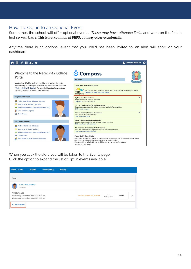### How To: Opt in to an Optional Event

Sometimes the school will offer optional events. *These may have attendee limits* and work on the first in first served basis. **This is not common at BEPS, but may occur occasionally.**

Anytime there is an optional event that your child has been invited to, an alert will show on your dashboard.



When you click the alert, you will be taken to the Events page. Click the option to expand the list of Opt In events available.

| <b>Action Centre</b>                                                                                     | <b>Events</b>    | Volunteering | History |                              |                   |         |  |
|----------------------------------------------------------------------------------------------------------|------------------|--------------|---------|------------------------------|-------------------|---------|--|
| Event                                                                                                    |                  |              |         |                              |                   |         |  |
| events                                                                                                   | Euan ABERCROMBIE |              |         |                              |                   |         |  |
| <b>Melbourne Zoo</b><br>Wednesday, December 16th 2020, 8:30 am<br>Wednesday, December 16th 2020, 3:25 pm |                  |              |         | Awaiting consent and payment | Due<br>09/12/2020 | \$50.00 |  |
| + 1 opt-in event                                                                                         |                  |              |         |                              |                   |         |  |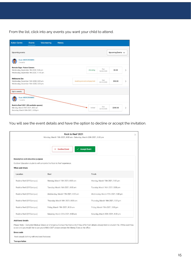From the list, click into any events you want your child to attend.

| <b>Action Centre</b>                                                              | Events                             | Volunteering | <b>History</b> |                              |           |            |                           |               |
|-----------------------------------------------------------------------------------|------------------------------------|--------------|----------------|------------------------------|-----------|------------|---------------------------|---------------|
| <b>Upcoming events</b>                                                            |                                    |              |                |                              |           |            | Upcoming Events $\sqrt{}$ |               |
| 2 events                                                                          | <b>Euan ABERCROMBIE</b>            |              |                |                              |           |            |                           |               |
| <b>Remote Expo- Future Careers</b>                                                |                                    |              |                |                              | Attending | Due        | \$0.00                    |               |
| Wednesday, September 9th 2020, 9:45 am<br>Wednesday, September 9th 2020, 11:45 am |                                    |              |                |                              |           | 18/08/2020 |                           | $\mathcal{P}$ |
| <b>Melbourne Zoo</b>                                                              |                                    |              |                |                              |           | Due        |                           |               |
| Wednesday, December 16th 2020, 8:30 am<br>Wednesday, December 16th 2020, 3:25 pm  |                                    |              |                | Awaiting consent and payment |           | 09/12/2020 | \$50.00                   | $\mathcal{E}$ |
| Opt in events                                                                     |                                    |              |                |                              |           |            |                           |               |
|                                                                                   | <b>Euan ABERCROMBIE</b>            |              |                |                              |           |            |                           |               |
| 1 events                                                                          |                                    |              |                |                              |           |            |                           |               |
| Rock to Reef 2021 (50 available spaces)<br>Monday, March 15th 2021, 8:00 am       |                                    |              |                |                              | Invited   | Due        | \$200.00                  | $\mathcal{P}$ |
|                                                                                   | Saturday, March 20th 2021, 5:00 pm |              |                |                              |           | 23/10/2020 |                           |               |

You will see the event details and have the option to decline or accept the invitation.

| Rock to Reef 2021<br>Monday, March 15th 2021, 8:00 am - Saturday, March 20th 2021, 5:00 pm |                                                                       |                                     |  |  |  |  |
|--------------------------------------------------------------------------------------------|-----------------------------------------------------------------------|-------------------------------------|--|--|--|--|
|                                                                                            | $\checkmark$ Accept Event<br>$\times$ Decline Event                   |                                     |  |  |  |  |
| <b>Description and educative purpose</b><br>When and where                                 | Outdoor Education students will complete the Rock to Reef experience. |                                     |  |  |  |  |
| Location                                                                                   | <b>Start</b>                                                          | Finish                              |  |  |  |  |
| Rock to Reef (Off Campus)                                                                  | Monday, March 15th 2021, 8:00 am                                      | Monday, March 15th 2021, 5:00 pm    |  |  |  |  |
| Rock to Reef (Off Campus)                                                                  | Tuesday, March 16th 2021, 8:00 am                                     | Tuesday, March 16th 2021, 5:00 pm   |  |  |  |  |
| Rock to Reef (Off Campus)                                                                  | Wednesday, March 17th 2021, 8:00 am                                   | Wednesday, March 17th 2021, 5:00 pm |  |  |  |  |
| Rock to Reef (Off Campus)                                                                  | Thursday, March 18th 2021, 8:00 am                                    | Thursday, March 18th 2021, 5:00 pm  |  |  |  |  |
| Rock to Reef (Off Campus)                                                                  | Friday, March 19th 2021, 8:00 am                                      | Friday, March 19th 2021, 5:00 pm    |  |  |  |  |
|                                                                                            | Saturday, March 20th 2021, 8:00 am                                    | Saturday, March 20th 2021, 5:00 pm  |  |  |  |  |

#### Dress code

Neat casual clothing with enclosed footwear.

#### Transportation